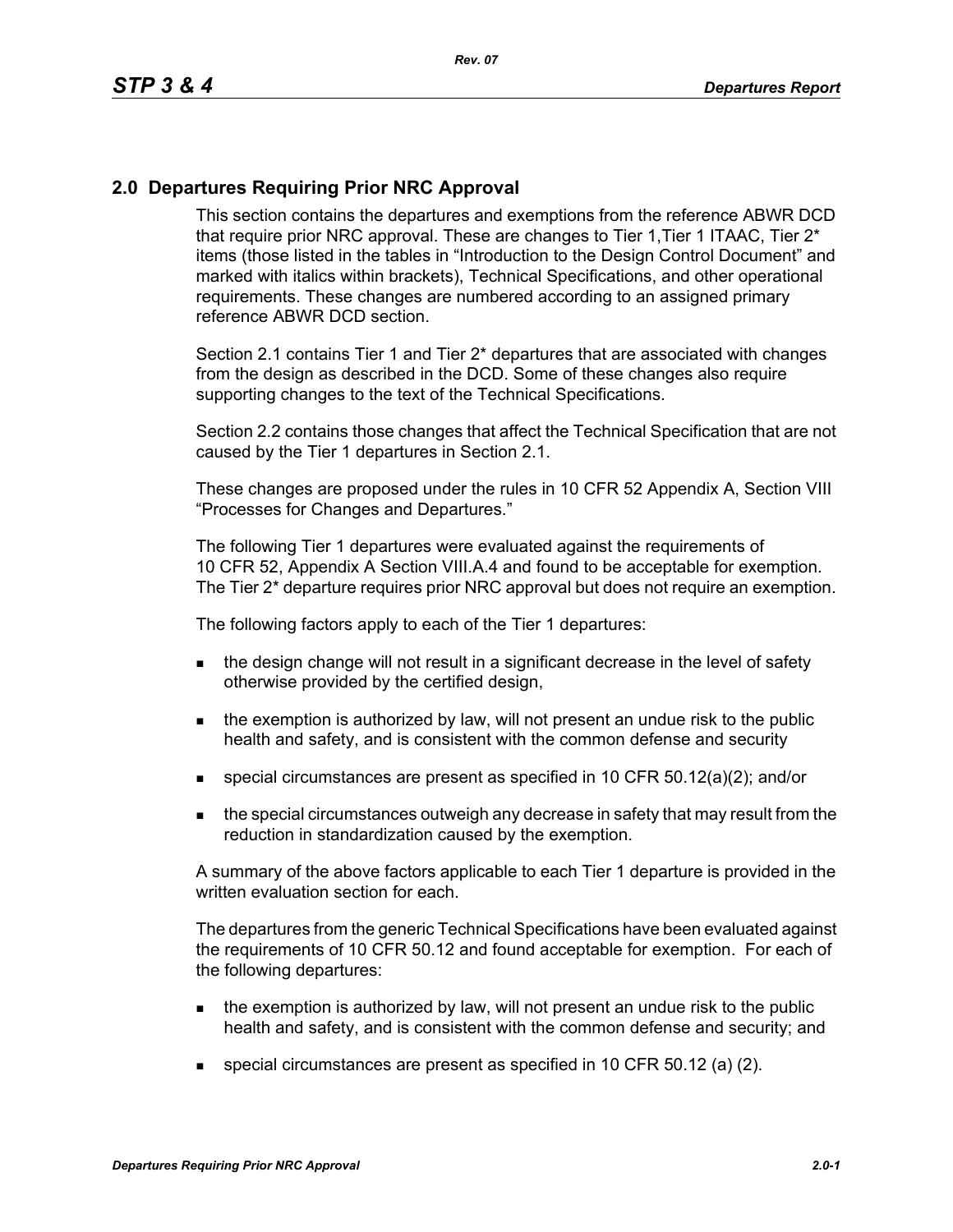## **2.0 Departures Requiring Prior NRC Approval**

This section contains the departures and exemptions from the reference ABWR DCD that require prior NRC approval. These are changes to Tier 1, Tier 1 ITAAC, Tier 2<sup>\*</sup> items (those listed in the tables in "Introduction to the Design Control Document" and marked with italics within brackets), Technical Specifications, and other operational requirements. These changes are numbered according to an assigned primary reference ABWR DCD section.

Section 2.1 contains Tier 1 and Tier 2\* departures that are associated with changes from the design as described in the DCD. Some of these changes also require supporting changes to the text of the Technical Specifications.

Section 2.2 contains those changes that affect the Technical Specification that are not caused by the Tier 1 departures in Section 2.1.

These changes are proposed under the rules in 10 CFR 52 Appendix A, Section VIII "Processes for Changes and Departures."

The following Tier 1 departures were evaluated against the requirements of 10 CFR 52, Appendix A Section VIII.A.4 and found to be acceptable for exemption. The Tier 2\* departure requires prior NRC approval but does not require an exemption.

The following factors apply to each of the Tier 1 departures:

- the design change will not result in a significant decrease in the level of safety otherwise provided by the certified design,
- $\blacksquare$  the exemption is authorized by law, will not present an undue risk to the public health and safety, and is consistent with the common defense and security
- special circumstances are present as specified in 10 CFR 50.12(a)(2); and/or
- **the special circumstances outweigh any decrease in safety that may result from the** reduction in standardization caused by the exemption.

A summary of the above factors applicable to each Tier 1 departure is provided in the written evaluation section for each.

The departures from the generic Technical Specifications have been evaluated against the requirements of 10 CFR 50.12 and found acceptable for exemption. For each of the following departures:

- $\blacksquare$  the exemption is authorized by law, will not present an undue risk to the public health and safety, and is consistent with the common defense and security; and
- special circumstances are present as specified in 10 CFR 50.12 (a) (2).